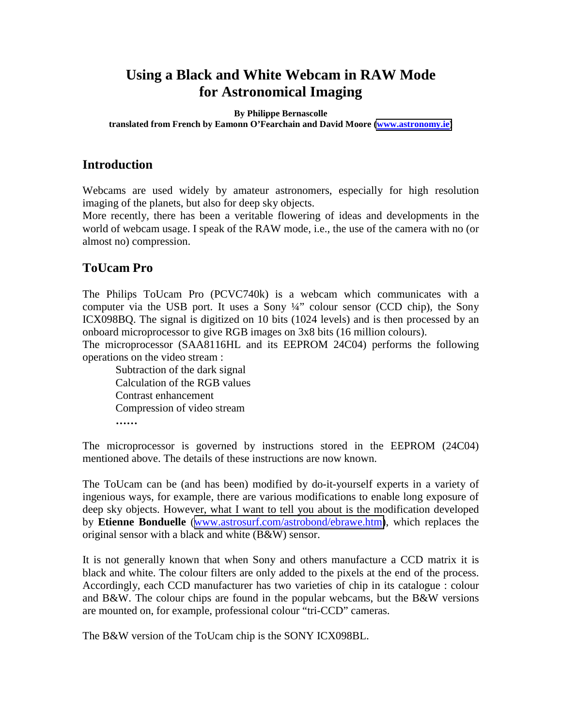# **Using a Black and White Webcam in RAW Mode for Astronomical Imaging**

#### **By Philippe Bernascolle translated from French by Eamonn O'Fearchain and David Moore [\(www.astronomy.ie\)](http://www.astronomy.ie/)**

## **Introduction**

Webcams are used widely by amateur astronomers, especially for high resolution imaging of the planets, but also for deep sky objects.

More recently, there has been a veritable flowering of ideas and developments in the world of webcam usage. I speak of the RAW mode, i.e., the use of the camera with no (or almost no) compression.

# **ToUcam Pro**

The Philips ToUcam Pro (PCVC740k) is a webcam which communicates with a computer via the USB port. It uses a Sony  $\frac{1}{4}$  colour sensor (CCD chip), the Sony ICX098BQ. The signal is digitized on 10 bits (1024 levels) and is then processed by an onboard microprocessor to give RGB images on 3x8 bits (16 million colours).

The microprocessor (SAA8116HL and its EEPROM 24C04) performs the following operations on the video stream :

Subtraction of the dark signal Calculation of the RGB values Contrast enhancement Compression of video stream **……**

The microprocessor is governed by instructions stored in the EEPROM (24C04) mentioned above. The details of these instructions are now known.

The ToUcam can be (and has been) modified by do-it-yourself experts in a variety of ingenious ways, for example, there are various modifications to enable long exposure of deep sky objects. However, what I want to tell you about is the modification developed by **Etienne Bonduelle** ([www.astrosurf.com/astrobond/ebrawe.htm\)](http://www.astrosurf.com/astrobond/ebrawe.htm), which replaces the original sensor with a black and white (B&W) sensor.

It is not generally known that when Sony and others manufacture a CCD matrix it is black and white. The colour filters are only added to the pixels at the end of the process. Accordingly, each CCD manufacturer has two varieties of chip in its catalogue : colour and B&W. The colour chips are found in the popular webcams, but the B&W versions are mounted on, for example, professional colour "tri-CCD" cameras.

The B&W version of the ToUcam chip is the SONY ICX098BL.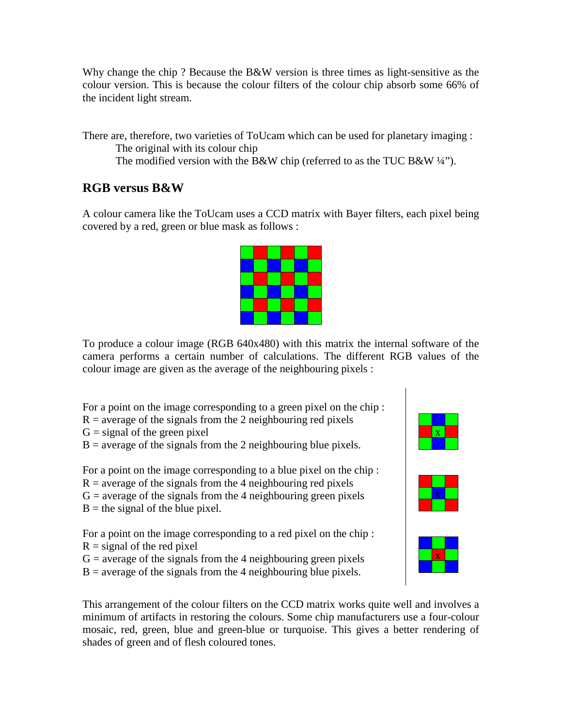Why change the chip ? Because the B&W version is three times as light-sensitive as the colour version. This is because the colour filters of the colour chip absorb some 66% of the incident light stream.

There are, therefore, two varieties of ToUcam which can be used for planetary imaging : The original with its colour chip

The modified version with the B&W chip (referred to as the TUC B&W  $\frac{1}{4}$ ").

## **RGB versus B&W**

A colour camera like the ToUcam uses a CCD matrix with Bayer filters, each pixel being covered by a red, green or blue mask as follows :

To produce a colour image (RGB 640x480) with this matrix the internal software of the camera performs a certain number of calculations. The different RGB values of the colour image are given as the average of the neighbouring pixels :

For a point on the image corresponding to a green pixel on the chip :

- $R =$  average of the signals from the 2 neighbouring red pixels
- $G =$  signal of the green pixel
- $B =$  average of the signals from the 2 neighbouring blue pixels.

For a point on the image corresponding to a blue pixel on the chip :

 $R =$  average of the signals from the 4 neighbouring red pixels

 $G =$  average of the signals from the 4 neighbouring green pixels

 $B =$  the signal of the blue pixel.

For a point on the image corresponding to a red pixel on the chip :

- $R =$  signal of the red pixel
- $G =$  average of the signals from the 4 neighbouring green pixels
- $B =$  average of the signals from the 4 neighbouring blue pixels.

This arrangement of the colour filters on the CCD matrix works quite well and involves a minimum of artifacts in restoring the colours. Some chip manufacturers use a four-colour mosaic, red, green, blue and green-blue or turquoise. This gives a better rendering of shades of green and of flesh coloured tones.





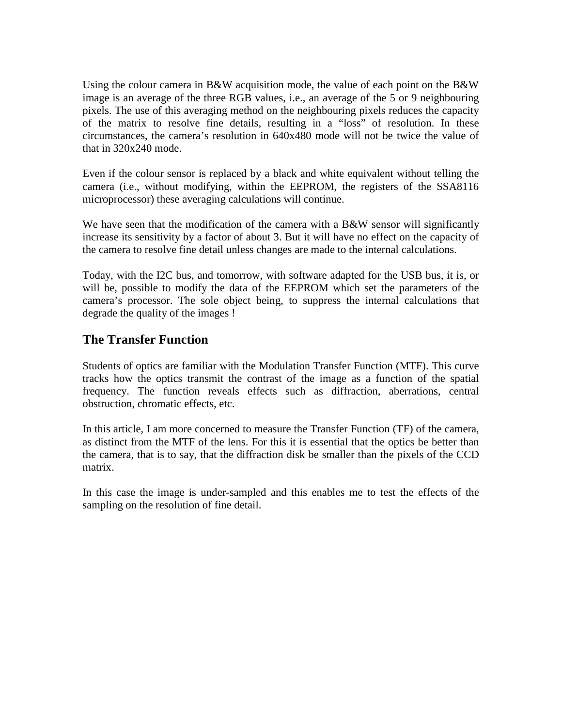Using the colour camera in B&W acquisition mode, the value of each point on the B&W image is an average of the three RGB values, i.e., an average of the 5 or 9 neighbouring pixels. The use of this averaging method on the neighbouring pixels reduces the capacity of the matrix to resolve fine details, resulting in a "loss" of resolution. In these circumstances, the camera's resolution in 640x480 mode will not be twice the value of that in 320x240 mode.

Even if the colour sensor is replaced by a black and white equivalent without telling the camera (i.e., without modifying, within the EEPROM, the registers of the SSA8116 microprocessor) these averaging calculations will continue.

We have seen that the modification of the camera with a B&W sensor will significantly increase its sensitivity by a factor of about 3. But it will have no effect on the capacity of the camera to resolve fine detail unless changes are made to the internal calculations.

Today, with the I2C bus, and tomorrow, with software adapted for the USB bus, it is, or will be, possible to modify the data of the EEPROM which set the parameters of the camera's processor. The sole object being, to suppress the internal calculations that degrade the quality of the images !

## **The Transfer Function**

Students of optics are familiar with the Modulation Transfer Function (MTF). This curve tracks how the optics transmit the contrast of the image as a function of the spatial frequency. The function reveals effects such as diffraction, aberrations, central obstruction, chromatic effects, etc.

In this article, I am more concerned to measure the Transfer Function (TF) of the camera, as distinct from the MTF of the lens. For this it is essential that the optics be better than the camera, that is to say, that the diffraction disk be smaller than the pixels of the CCD matrix.

In this case the image is under-sampled and this enables me to test the effects of the sampling on the resolution of fine detail.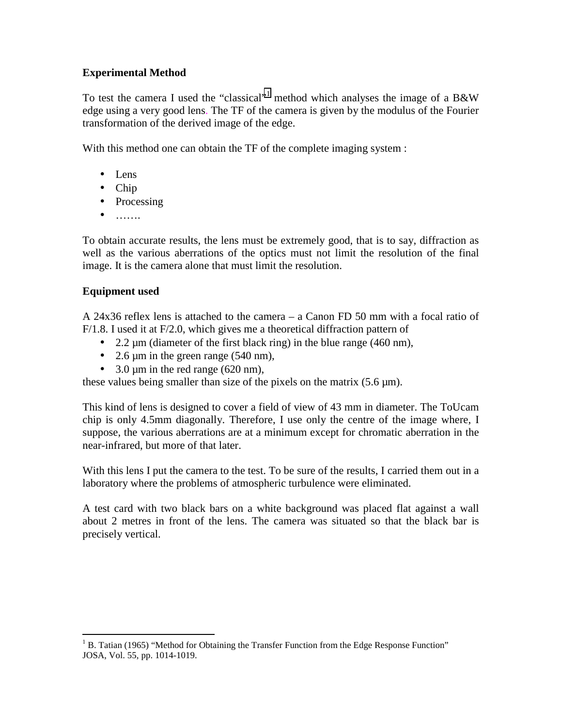### **Experimental Method**

To test the camera I used the "classical"<sup>1</sup> method which analyses the image of a B&W edge using a very good lens. The TF of the camera is given by the modulus of the Fourier transformation of the derived image of the edge.

With this method one can obtain the TF of the complete imaging system :

- Lens
- Chip
- Processing
- $\bullet$   $\dots$ ....

To obtain accurate results, the lens must be extremely good, that is to say, diffraction as well as the various aberrations of the optics must not limit the resolution of the final image. It is the camera alone that must limit the resolution.

## **Equipment used**

A 24x36 reflex lens is attached to the camera – a Canon FD 50 mm with a focal ratio of F/1.8. I used it at F/2.0, which gives me a theoretical diffraction pattern of

- 2.2  $\mu$ m (diameter of the first black ring) in the blue range (460 nm),
- 2.6  $\mu$ m in the green range (540 nm),
- 3.0  $\mu$ m in the red range (620 nm),

these values being smaller than size of the pixels on the matrix  $(5.6 \,\mu m)$ .

This kind of lens is designed to cover a field of view of 43 mm in diameter. The ToUcam chip is only 4.5mm diagonally. Therefore, I use only the centre of the image where, I suppose, the various aberrations are at a minimum except for chromatic aberration in the near-infrared, but more of that later.

With this lens I put the camera to the test. To be sure of the results, I carried them out in a laboratory where the problems of atmospheric turbulence were eliminated.

A test card with two black bars on a white background was placed flat against a wall about 2 metres in front of the lens. The camera was situated so that the black bar is precisely vertical.

 $\overline{a}$  $1 B$ . Tatian (1965) "Method for Obtaining the Transfer Function from the Edge Response Function" JOSA, Vol. 55, pp. 1014-1019.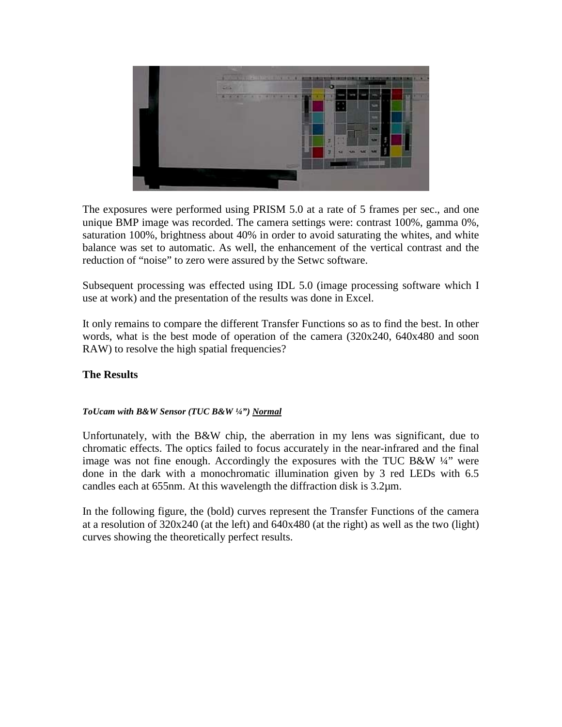

The exposures were performed using PRISM 5.0 at a rate of 5 frames per sec., and one unique BMP image was recorded. The camera settings were: contrast 100%, gamma 0%, saturation 100%, brightness about 40% in order to avoid saturating the whites, and white balance was set to automatic. As well, the enhancement of the vertical contrast and the reduction of "noise" to zero were assured by the Setwc software.

Subsequent processing was effected using IDL 5.0 (image processing software which I use at work) and the presentation of the results was done in Excel.

It only remains to compare the different Transfer Functions so as to find the best. In other words, what is the best mode of operation of the camera (320x240, 640x480 and soon RAW) to resolve the high spatial frequencies?

### **The Results**

#### *ToUcam with B&W Sensor (TUC B&W ¼") Normal*

Unfortunately, with the B&W chip, the aberration in my lens was significant, due to chromatic effects. The optics failed to focus accurately in the near-infrared and the final image was not fine enough. Accordingly the exposures with the TUC B&W  $\frac{1}{4}$  were done in the dark with a monochromatic illumination given by 3 red LEDs with 6.5 candles each at 655nm. At this wavelength the diffraction disk is 3.2µm.

In the following figure, the (bold) curves represent the Transfer Functions of the camera at a resolution of  $320x240$  (at the left) and  $640x480$  (at the right) as well as the two (light) curves showing the theoretically perfect results.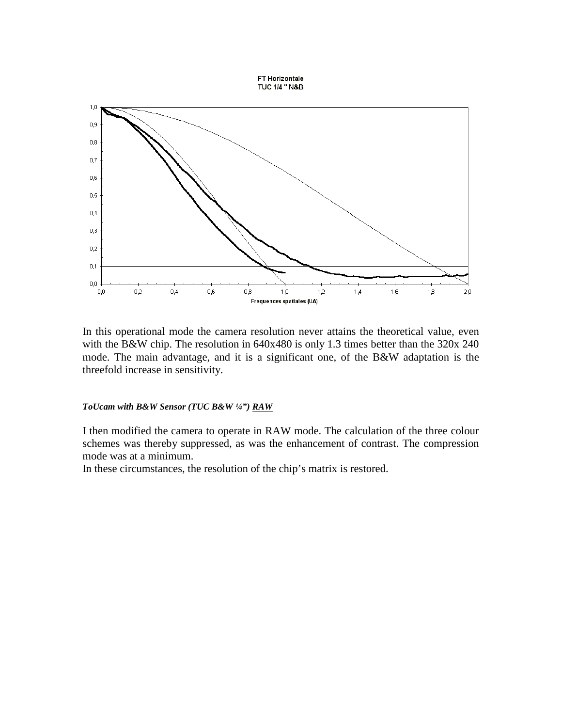

In this operational mode the camera resolution never attains the theoretical value, even with the B&W chip. The resolution in 640x480 is only 1.3 times better than the 320x 240 mode. The main advantage, and it is a significant one, of the B&W adaptation is the threefold increase in sensitivity.

#### *ToUcam with B&W Sensor (TUC B&W ¼") RAW*

I then modified the camera to operate in RAW mode. The calculation of the three colour schemes was thereby suppressed, as was the enhancement of contrast. The compression mode was at a minimum.

In these circumstances, the resolution of the chip's matrix is restored.